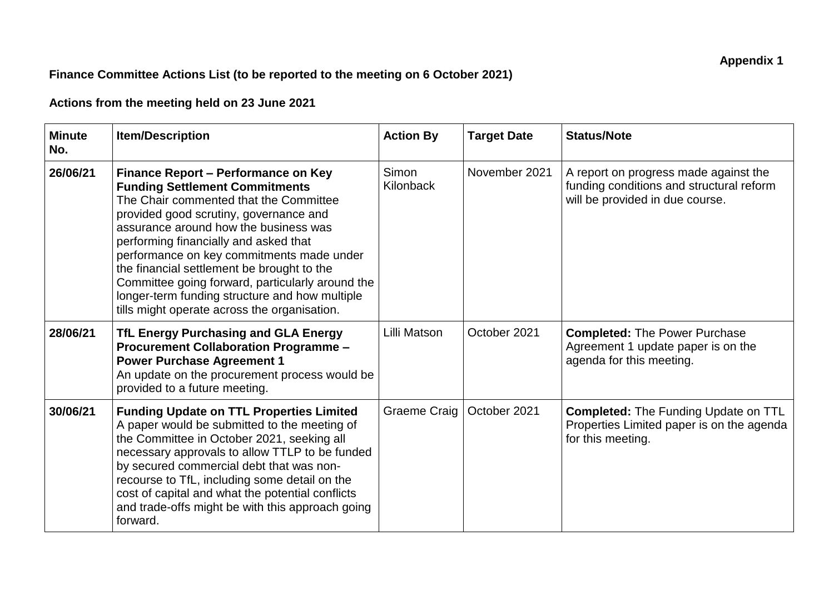## **Finance Committee Actions List (to be reported to the meeting on 6 October 2021)**

## **Actions from the meeting held on 23 June 2021**

| <b>Minute</b><br>No. | <b>Item/Description</b>                                                                                                                                                                                                                                                                                                                                                                                                                                                                             | <b>Action By</b>   | <b>Target Date</b> | <b>Status/Note</b>                                                                                                   |
|----------------------|-----------------------------------------------------------------------------------------------------------------------------------------------------------------------------------------------------------------------------------------------------------------------------------------------------------------------------------------------------------------------------------------------------------------------------------------------------------------------------------------------------|--------------------|--------------------|----------------------------------------------------------------------------------------------------------------------|
| 26/06/21             | Finance Report – Performance on Key<br><b>Funding Settlement Commitments</b><br>The Chair commented that the Committee<br>provided good scrutiny, governance and<br>assurance around how the business was<br>performing financially and asked that<br>performance on key commitments made under<br>the financial settlement be brought to the<br>Committee going forward, particularly around the<br>longer-term funding structure and how multiple<br>tills might operate across the organisation. | Simon<br>Kilonback | November 2021      | A report on progress made against the<br>funding conditions and structural reform<br>will be provided in due course. |
| 28/06/21             | TfL Energy Purchasing and GLA Energy<br><b>Procurement Collaboration Programme -</b><br><b>Power Purchase Agreement 1</b><br>An update on the procurement process would be<br>provided to a future meeting.                                                                                                                                                                                                                                                                                         | Lilli Matson       | October 2021       | <b>Completed: The Power Purchase</b><br>Agreement 1 update paper is on the<br>agenda for this meeting.               |
| 30/06/21             | <b>Funding Update on TTL Properties Limited</b><br>A paper would be submitted to the meeting of<br>the Committee in October 2021, seeking all<br>necessary approvals to allow TTLP to be funded<br>by secured commercial debt that was non-<br>recourse to TfL, including some detail on the<br>cost of capital and what the potential conflicts<br>and trade-offs might be with this approach going<br>forward.                                                                                    | Graeme Craig       | October 2021       | <b>Completed: The Funding Update on TTL</b><br>Properties Limited paper is on the agenda<br>for this meeting.        |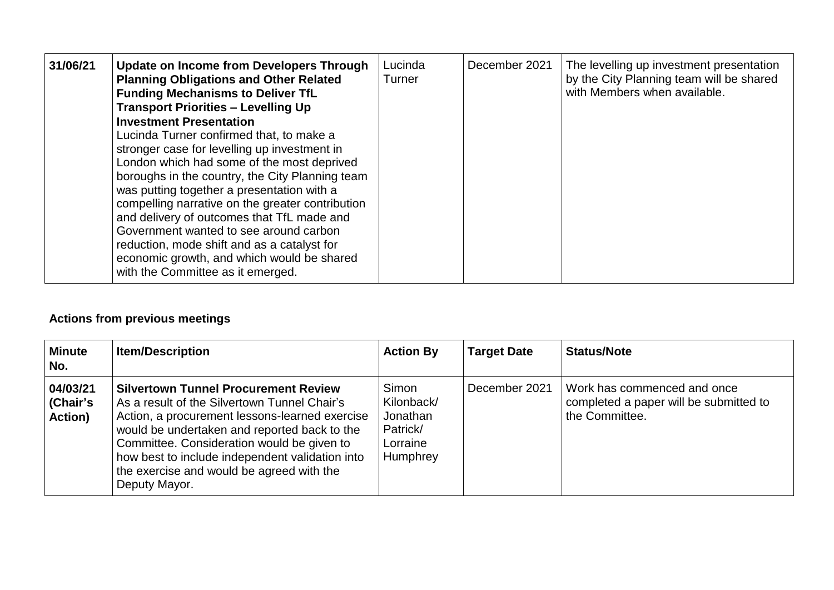| 31/06/21 | <b>Update on Income from Developers Through</b><br><b>Planning Obligations and Other Related</b><br><b>Funding Mechanisms to Deliver TfL</b><br><b>Transport Priorities - Levelling Up</b><br><b>Investment Presentation</b><br>Lucinda Turner confirmed that, to make a<br>stronger case for levelling up investment in<br>London which had some of the most deprived<br>boroughs in the country, the City Planning team<br>was putting together a presentation with a<br>compelling narrative on the greater contribution<br>and delivery of outcomes that TfL made and<br>Government wanted to see around carbon<br>reduction, mode shift and as a catalyst for<br>economic growth, and which would be shared<br>with the Committee as it emerged. | Lucinda<br>Turner | December 2021 | The levelling up investment presentation<br>by the City Planning team will be shared<br>with Members when available. |
|----------|-------------------------------------------------------------------------------------------------------------------------------------------------------------------------------------------------------------------------------------------------------------------------------------------------------------------------------------------------------------------------------------------------------------------------------------------------------------------------------------------------------------------------------------------------------------------------------------------------------------------------------------------------------------------------------------------------------------------------------------------------------|-------------------|---------------|----------------------------------------------------------------------------------------------------------------------|
|----------|-------------------------------------------------------------------------------------------------------------------------------------------------------------------------------------------------------------------------------------------------------------------------------------------------------------------------------------------------------------------------------------------------------------------------------------------------------------------------------------------------------------------------------------------------------------------------------------------------------------------------------------------------------------------------------------------------------------------------------------------------------|-------------------|---------------|----------------------------------------------------------------------------------------------------------------------|

## **Actions from previous meetings**

| <b>Minute</b><br>No.                          | <b>Item/Description</b>                                                                                                                                                                                                                                                                                                                                      | <b>Action By</b>                                                    | <b>Target Date</b> | <b>Status/Note</b>                                                                        |
|-----------------------------------------------|--------------------------------------------------------------------------------------------------------------------------------------------------------------------------------------------------------------------------------------------------------------------------------------------------------------------------------------------------------------|---------------------------------------------------------------------|--------------------|-------------------------------------------------------------------------------------------|
| 04/03/21<br><b>Chair's</b><br><b>Action</b> ) | <b>Silvertown Tunnel Procurement Review</b><br>As a result of the Silvertown Tunnel Chair's<br>Action, a procurement lessons-learned exercise<br>would be undertaken and reported back to the<br>Committee. Consideration would be given to<br>how best to include independent validation into<br>the exercise and would be agreed with the<br>Deputy Mayor. | Simon<br>Kilonback/<br>Jonathan<br>Patrick/<br>Lorraine<br>Humphrey | December 2021      | Work has commenced and once<br>completed a paper will be submitted to<br>I the Committee. |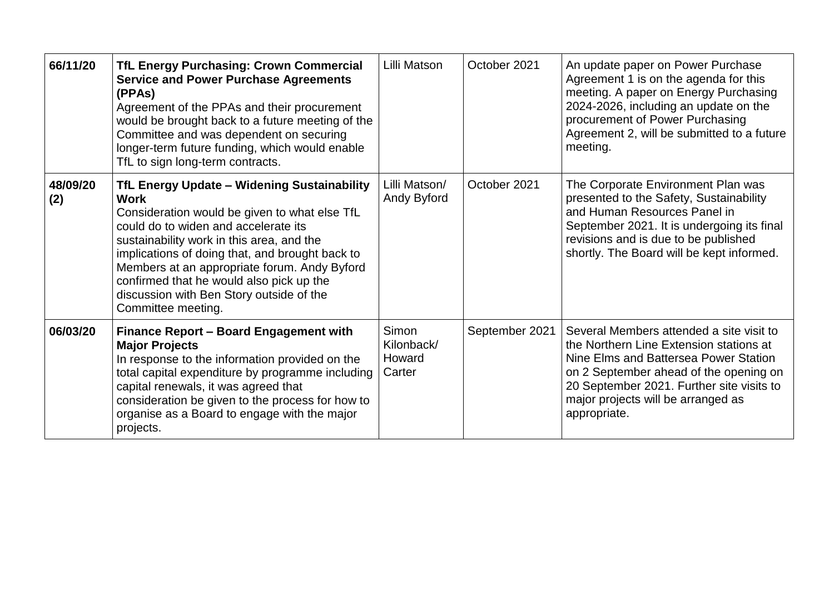| 66/11/20        | <b>TfL Energy Purchasing: Crown Commercial</b><br><b>Service and Power Purchase Agreements</b><br>(PPAs)<br>Agreement of the PPAs and their procurement<br>would be brought back to a future meeting of the<br>Committee and was dependent on securing<br>longer-term future funding, which would enable<br>TfL to sign long-term contracts.                                                                             | Lilli Matson                            | October 2021   | An update paper on Power Purchase<br>Agreement 1 is on the agenda for this<br>meeting. A paper on Energy Purchasing<br>2024-2026, including an update on the<br>procurement of Power Purchasing<br>Agreement 2, will be submitted to a future<br>meeting.                 |
|-----------------|--------------------------------------------------------------------------------------------------------------------------------------------------------------------------------------------------------------------------------------------------------------------------------------------------------------------------------------------------------------------------------------------------------------------------|-----------------------------------------|----------------|---------------------------------------------------------------------------------------------------------------------------------------------------------------------------------------------------------------------------------------------------------------------------|
| 48/09/20<br>(2) | <b>TfL Energy Update - Widening Sustainability</b><br><b>Work</b><br>Consideration would be given to what else TfL<br>could do to widen and accelerate its<br>sustainability work in this area, and the<br>implications of doing that, and brought back to<br>Members at an appropriate forum. Andy Byford<br>confirmed that he would also pick up the<br>discussion with Ben Story outside of the<br>Committee meeting. | Lilli Matson/<br>Andy Byford            | October 2021   | The Corporate Environment Plan was<br>presented to the Safety, Sustainability<br>and Human Resources Panel in<br>September 2021. It is undergoing its final<br>revisions and is due to be published<br>shortly. The Board will be kept informed.                          |
| 06/03/20        | Finance Report - Board Engagement with<br><b>Major Projects</b><br>In response to the information provided on the<br>total capital expenditure by programme including<br>capital renewals, it was agreed that<br>consideration be given to the process for how to<br>organise as a Board to engage with the major<br>projects.                                                                                           | Simon<br>Kilonback/<br>Howard<br>Carter | September 2021 | Several Members attended a site visit to<br>the Northern Line Extension stations at<br>Nine Elms and Battersea Power Station<br>on 2 September ahead of the opening on<br>20 September 2021. Further site visits to<br>major projects will be arranged as<br>appropriate. |